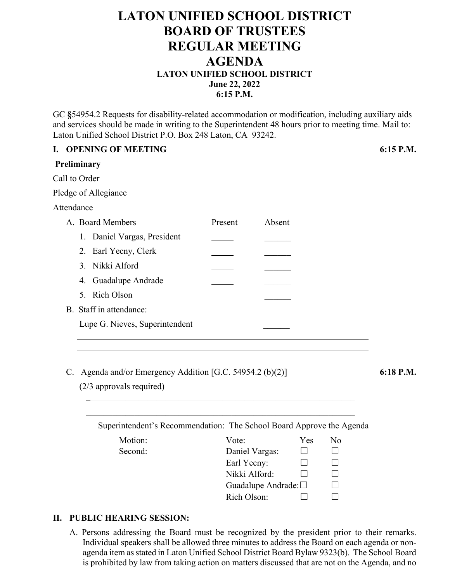## **LATON UNIFIED SCHOOL DISTRICT BOARD OF TRUSTEES REGULAR MEETING AGENDA LATON UNIFIED SCHOOL DISTRICT June 22, 2022 6:15 P.M.**

GC **§**54954.2 Requests for disability-related accommodation or modification, including auxiliary aids and services should be made in writing to the Superintendent 48 hours prior to meeting time. Mail to: Laton Unified School District P.O. Box 248 Laton, CA 93242.

|                                                                      |  | I. OPENING OF MEETING                                     |                              |                     |                  |         | 6:15 P.M. |
|----------------------------------------------------------------------|--|-----------------------------------------------------------|------------------------------|---------------------|------------------|---------|-----------|
|                                                                      |  | Preliminary                                               |                              |                     |                  |         |           |
|                                                                      |  | Call to Order                                             |                              |                     |                  |         |           |
|                                                                      |  | Pledge of Allegiance                                      |                              |                     |                  |         |           |
|                                                                      |  | Attendance                                                |                              |                     |                  |         |           |
|                                                                      |  | A. Board Members                                          | Present                      | Absent              |                  |         |           |
|                                                                      |  | 1. Daniel Vargas, President                               |                              |                     |                  |         |           |
|                                                                      |  | 2. Earl Yecny, Clerk                                      |                              |                     |                  |         |           |
|                                                                      |  | 3. Nikki Alford                                           |                              |                     |                  |         |           |
|                                                                      |  | Guadalupe Andrade<br>4.                                   |                              |                     |                  |         |           |
|                                                                      |  | 5. Rich Olson                                             |                              |                     |                  |         |           |
|                                                                      |  | B. Staff in attendance:                                   |                              |                     |                  |         |           |
|                                                                      |  | Lupe G. Nieves, Superintendent                            |                              |                     |                  |         |           |
|                                                                      |  |                                                           |                              |                     |                  |         |           |
|                                                                      |  |                                                           |                              |                     |                  |         |           |
|                                                                      |  | C. Agenda and/or Emergency Addition [G.C. 54954.2 (b)(2)] |                              |                     |                  |         | 6:18 P.M. |
|                                                                      |  | (2/3 approvals required)                                  |                              |                     |                  |         |           |
|                                                                      |  |                                                           |                              |                     |                  |         |           |
|                                                                      |  |                                                           |                              |                     |                  |         |           |
| Superintendent's Recommendation: The School Board Approve the Agenda |  |                                                           |                              |                     |                  |         |           |
|                                                                      |  | Motion:                                                   | Vote:                        |                     | Yes              | No      |           |
|                                                                      |  | Second:                                                   | Daniel Vargas:               |                     | $\Box$<br>$\Box$ | $\perp$ |           |
|                                                                      |  |                                                           | Earl Yecny:<br>Nikki Alford: |                     | П                | $\Box$  |           |
|                                                                      |  |                                                           |                              | Guadalupe Andrade:□ |                  |         |           |
|                                                                      |  |                                                           | Rich Olson:                  |                     |                  |         |           |
|                                                                      |  |                                                           |                              |                     |                  |         |           |

### **II. PUBLIC HEARING SESSION:**

A. Persons addressing the Board must be recognized by the president prior to their remarks. Individual speakers shall be allowed three minutes to address the Board on each agenda or nonagenda item as stated in Laton Unified School District Board Bylaw 9323(b). The School Board is prohibited by law from taking action on matters discussed that are not on the Agenda, and no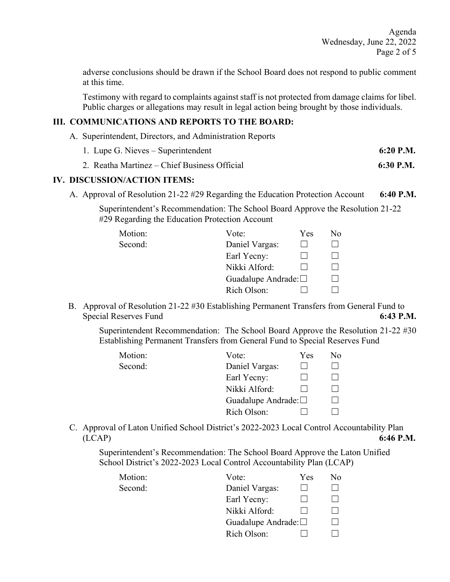adverse conclusions should be drawn if the School Board does not respond to public comment at this time.

 Testimony with regard to complaints against staff is not protected from damage claims for libel. Public charges or allegations may result in legal action being brought by those individuals.

### **III. COMMUNICATIONS AND REPORTS TO THE BOARD:**

- A. Superintendent, Directors, and Administration Reports
	- 1. Lupe G. Nieves Superintendent **6:20 P.M.**
	- 2. Reatha Martinez Chief Business Official **6:30 P.M.**

### **IV. DISCUSSION/ACTION ITEMS:**

A. Approval of Resolution 21-22 #29 Regarding the Education Protection Account **6:40 P.M.** 

 Superintendent's Recommendation: The School Board Approve the Resolution 21-22 #29 Regarding the Education Protection Account

| Motion: | Vote:                        | Yes | No |
|---------|------------------------------|-----|----|
| Second: | Daniel Vargas:               |     |    |
|         | Earl Yecny:                  |     |    |
|         | Nikki Alford:                |     |    |
|         | Guadalupe Andrade: $\square$ |     |    |
|         | Rich Olson:                  |     |    |

 B. Approval of Resolution 21-22 #30 Establishing Permanent Transfers from General Fund to Special Reserves Fund **6:43 P.M. 6:43 P.M.** 

Superintendent Recommendation: The School Board Approve the Resolution 21-22 #30 Establishing Permanent Transfers from General Fund to Special Reserves Fund

| Motion: | Vote:                        | Yes | No. |
|---------|------------------------------|-----|-----|
| Second: | Daniel Vargas:               |     |     |
|         | Earl Yecny:                  |     |     |
|         | Nikki Alford:                |     |     |
|         | Guadalupe Andrade: $\square$ |     |     |
|         | Rich Olson:                  |     |     |

C. Approval of Laton Unified School District's 2022-2023 Local Control Accountability Plan (LCAP) **6:46 P.M.** 

 Superintendent's Recommendation: The School Board Approve the Laton Unified School District's 2022-2023 Local Control Accountability Plan (LCAP)

| Motion: | Vote:                        | Yes | No |
|---------|------------------------------|-----|----|
| Second: | Daniel Vargas:               |     |    |
|         | Earl Yecny:                  |     |    |
|         | Nikki Alford:                |     |    |
|         | Guadalupe Andrade: $\square$ |     |    |
|         | Rich Olson:                  |     |    |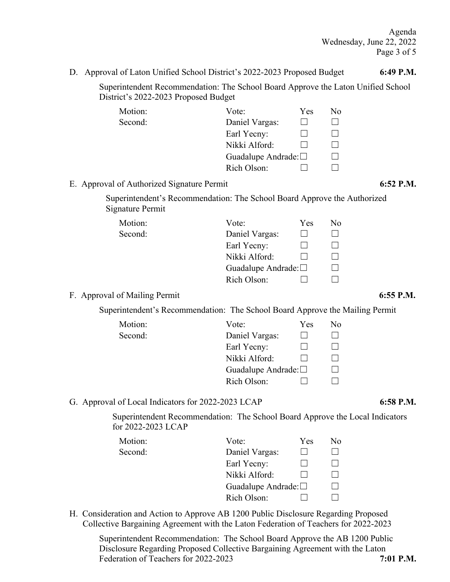Agenda Wednesday, June 22, 2022 Page 3 of 5

 Superintendent Recommendation: The School Board Approve the Laton Unified School District's 2022-2023 Proposed Budget

| Motion: | Vote:                        | Yes | No. |
|---------|------------------------------|-----|-----|
| Second: | Daniel Vargas:               |     |     |
|         | Earl Yecny:                  |     |     |
|         | Nikki Alford:                |     |     |
|         | Guadalupe Andrade: $\square$ |     |     |
|         | Rich Olson:                  |     |     |

### E. Approval of Authorized Signature Permit **6:52 P.M.**

 Superintendent's Recommendation: The School Board Approve the Authorized Signature Permit

| Motion: | Vote:                        | <b>Yes</b> | No. |
|---------|------------------------------|------------|-----|
| Second: | Daniel Vargas:               |            |     |
|         | Earl Yecny:                  |            |     |
|         | Nikki Alford:                |            |     |
|         | Guadalupe Andrade: $\square$ |            |     |
|         | Rich Olson:                  |            |     |
|         |                              |            |     |

### F. Approval of Mailing Permit 6:55 P.M.

Superintendent's Recommendation: The School Board Approve the Mailing Permit

| Motion: | Vote:                        | Yes | No. |
|---------|------------------------------|-----|-----|
| Second: | Daniel Vargas:               |     |     |
|         | Earl Yecny:                  |     |     |
|         | Nikki Alford:                |     |     |
|         | Guadalupe Andrade: $\square$ |     |     |
|         | Rich Olson:                  |     |     |

G. Approval of Local Indicators for 2022-2023 LCAP **6:58 P.M.** 

 Superintendent Recommendation: The School Board Approve the Local Indicators for 2022-2023 LCAP

| Motion: | Vote:                        | Yes | No |
|---------|------------------------------|-----|----|
| Second: | Daniel Vargas:               |     |    |
|         | Earl Yecny:                  |     |    |
|         | Nikki Alford:                |     |    |
|         | Guadalupe Andrade: $\square$ |     |    |
|         | Rich Olson:                  |     |    |

 H. Consideration and Action to Approve AB 1200 Public Disclosure Regarding Proposed Collective Bargaining Agreement with the Laton Federation of Teachers for 2022-2023

 Superintendent Recommendation: The School Board Approve the AB 1200 Public Disclosure Regarding Proposed Collective Bargaining Agreement with the Laton Federation of Teachers for 2022-2023 **7:01 P.M.**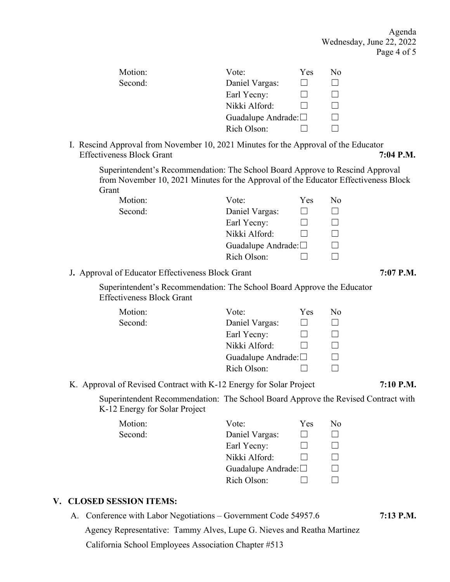Agenda Wednesday, June 22, 2022 Page 4 of 5

| Motion: | Vote:                        | <b>Yes</b> | No. |
|---------|------------------------------|------------|-----|
| Second: | Daniel Vargas:               |            |     |
|         | Earl Yecny:                  |            |     |
|         | Nikki Alford:                |            |     |
|         | Guadalupe Andrade: $\square$ |            |     |
|         | Rich Olson:                  |            |     |
|         |                              |            |     |

I. Rescind Approval from November 10, 2021 Minutes for the Approval of the Educator Effectiveness Block Grant **7:04 P.M. 7:04 P.M.** 

 Superintendent's Recommendation: The School Board Approve to Rescind Approval from November 10, 2021 Minutes for the Approval of the Educator Effectiveness Block Grant

| Motion: | Vote:                        | Yes | No. |
|---------|------------------------------|-----|-----|
| Second: | Daniel Vargas:               |     |     |
|         | Earl Yecny:                  |     |     |
|         | Nikki Alford:                |     |     |
|         | Guadalupe Andrade: $\square$ |     |     |
|         | Rich Olson:                  |     |     |

### J**.** Approval of Educator Effectiveness Block Grant **7:07 P.M.**

 Superintendent's Recommendation: The School Board Approve the Educator Effectiveness Block Grant

| Vote:          | <b>Yes</b> | No                           |
|----------------|------------|------------------------------|
| Daniel Vargas: |            |                              |
| Earl Yecny:    |            |                              |
| Nikki Alford:  |            |                              |
|                |            |                              |
| Rich Olson:    |            |                              |
|                |            | Guadalupe Andrade: $\square$ |

### K.Approval of Revised Contract with K-12 Energy for Solar Project **7:10 P.M.**

 Superintendent Recommendation: The School Board Approve the Revised Contract with K-12 Energy for Solar Project

| Motion: | Vote:                        | <b>Yes</b> | No. |
|---------|------------------------------|------------|-----|
| Second: | Daniel Vargas:               |            |     |
|         | Earl Yecny:                  |            |     |
|         | Nikki Alford:                |            |     |
|         | Guadalupe Andrade: $\square$ |            |     |
|         | Rich Olson:                  |            |     |

### **V. CLOSED SESSION ITEMS:**

A. Conference with Labor Negotiations – Government Code 54957.6 **7:13 P.M.** 

Agency Representative: Tammy Alves, Lupe G. Nieves and Reatha Martinez

California School Employees Association Chapter #513